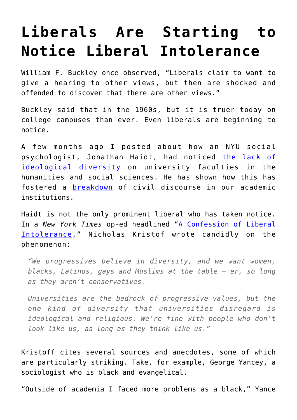## **[Liberals Are Starting to](https://intellectualtakeout.org/2016/05/liberals-are-starting-to-notice-liberal-intolerance/) [Notice Liberal Intolerance](https://intellectualtakeout.org/2016/05/liberals-are-starting-to-notice-liberal-intolerance/)**

William F. Buckley once observed, "Liberals claim to want to give a hearing to other views, but then are shocked and offended to discover that there are other views."

Buckley said that in the 1960s, but it is truer today on college campuses than ever. Even liberals are beginning to notice.

A few months ago I posted about how an NYU social psychologist, Jonathan Haidt, had noticed [the lack of](https://www.intellectualtakeout.org/blog/nyu-prof-laments-lack-ideological-diversity-college-campuses) [ideological diversity](https://www.intellectualtakeout.org/blog/nyu-prof-laments-lack-ideological-diversity-college-campuses) on university faculties in the humanities and social sciences. He has shown how this has fostered a [breakdown](https://www.intellectualtakeout.org/blog/psychologist-breakdown-discourse-im-liberal-professor-and-my-liberal-students-scare-me) of civil discourse in our academic institutions.

Haidt is not the only prominent liberal who has taken notice. In a *New York Times* op-ed headlined "[A Confession of Liberal](http://www.nytimes.com/2016/05/08/opinion/sunday/a-confession-of-liberal-intolerance.html?_r=0) [Intolerance,](http://www.nytimes.com/2016/05/08/opinion/sunday/a-confession-of-liberal-intolerance.html?_r=0)" Nicholas Kristof wrote candidly on the phenomenon:

*"We progressives believe in diversity, and we want women, blacks, Latinos, gays and Muslims at the table — er, so long as they aren't conservatives.*

*Universities are the bedrock of progressive values, but the one kind of diversity that universities disregard is ideological and religious. We're fine with people who don't look like us, as long as they think like us."*

Kristoff cites several sources and anecdotes, some of which are particularly striking. Take, for example, George Yancey, a sociologist who is black and evangelical.

"Outside of academia I faced more problems as a black," Yance